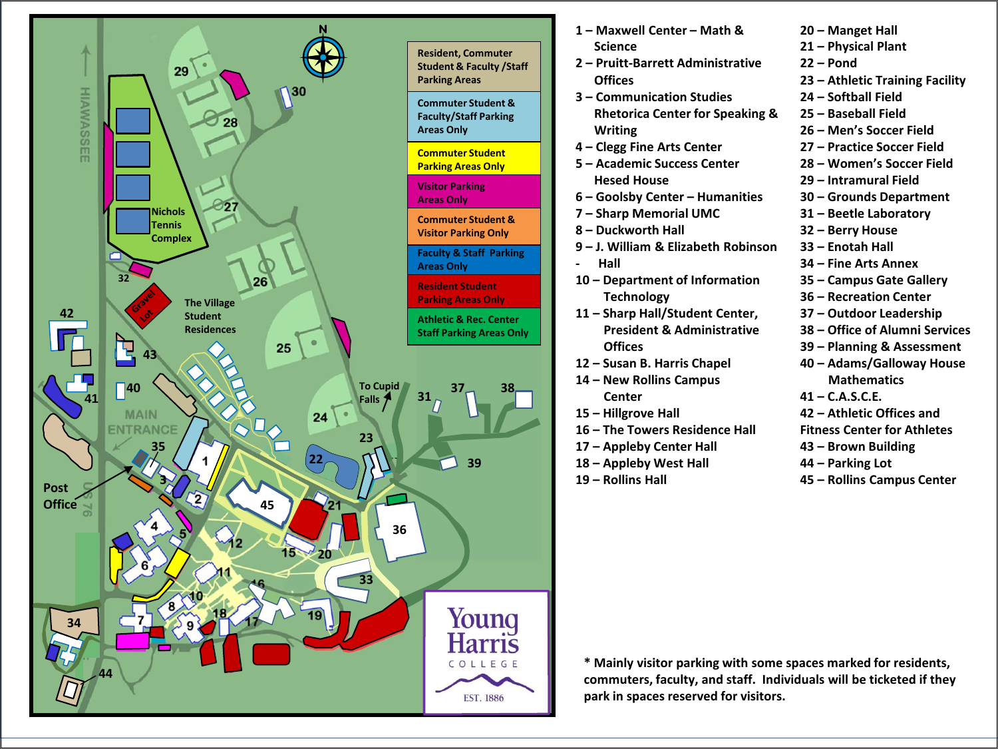

| 1 - Maxwell Center - Math &                | 20 – Manget Hall                   |
|--------------------------------------------|------------------------------------|
| <b>Science</b>                             | 21 - Physical Plant                |
| 2 - Pruitt-Barrett Administrative          | 22 – Pond                          |
| <b>Offices</b>                             | 23 – Athletic Training Facility    |
| 3 – Communication Studies                  | 24 – Softball Field                |
| <b>Rhetorica Center for Speaking &amp;</b> | 25 - Baseball Field                |
| <b>Writing</b>                             | 26 - Men's Soccer Field            |
| 4 – Clegg Fine Arts Center                 | 27 – Practice Soccer Field         |
| 5 - Academic Success Center                | 28 – Women's Soccer Field          |
| <b>Hesed House</b>                         | 29 – Intramural Field              |
| 6 - Goolsby Center - Humanities            | 30 - Grounds Department            |
| 7 - Sharp Memorial UMC                     | 31 - Beetle Laboratory             |
| 8 - Duckworth Hall                         | 32 – Berry House                   |
| 9 – J. William & Elizabeth Robinson        | 33 - Enotah Hall                   |
| Hall                                       | 34 – Fine Arts Annex               |
| 10 – Department of Information             | 35 – Campus Gate Gallery           |
| <b>Technology</b>                          | 36 – Recreation Center             |
| 11 - Sharp Hall/Student Center,            | 37 - Outdoor Leadership            |
| <b>President &amp; Administrative</b>      | 38 - Office of Alumni Services     |
| <b>Offices</b>                             | 39 - Planning & Assessment         |
| 12 - Susan B. Harris Chapel                | 40 - Adams/Galloway House          |
| 14 – New Rollins Campus                    | <b>Mathematics</b>                 |
| Center                                     | $41 - C.A.S.C.E.$                  |
| 15 - Hillgrove Hall                        | 42 – Athletic Offices and          |
| 16 – The Towers Residence Hall             | <b>Fitness Center for Athletes</b> |
| 17 - Appleby Center Hall                   | 43 – Brown Building                |
| 18 - Appleby West Hall                     | 44 – Parking Lot                   |
| 19 – Rollins Hall                          | 45 – Rollins Campus Center         |

**– Rollins Campus Center**

**\* Mainly visitor parking with some spaces marked for residents, commuters, faculty, and staff. Individuals will be ticketed if they park in spaces reserved for visitors.**